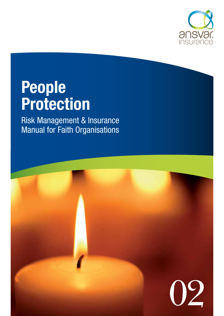

# **People Protection**

Risk Management & Insurance Manual for Faith Organisations

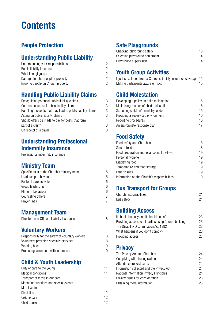### **Contents**

### **People Protection**

### **Understanding Public Liability**

| 2 |
|---|
|   |
| 2 |
| 2 |
|   |

### **Handling Public Liability Claims**

| Recognising potential public liability claims               | 3 |
|-------------------------------------------------------------|---|
| Common causes of public liability claims                    | 3 |
| Handling incidents that may lead to public liability claims | 3 |
| Acting on public liability claims                           | 3 |
| Should offers be made to pay for costs that form            |   |
| part of a claim?                                            | 3 |
| On receipt of a claim                                       | 3 |
|                                                             |   |

#### **Understanding Professional Indemnity Insurance**

Professional indemnity insurance 4

#### **Ministry Team**

| Specific risks to the Church's ministry team | 5 |
|----------------------------------------------|---|
| Leadership behaviour                         | 5 |
| Pastoral care activities                     | 6 |
| Group leadership                             | 6 |
| Platform behaviour                           | 6 |
| Counseling others                            | 7 |
| Prayer lines                                 | 7 |
|                                              |   |

#### **Management Team**

Directors and Officers Liability insurance 8

#### **Voluntary Workers**

| Responsibility for the safety of voluntary workers |    |
|----------------------------------------------------|----|
| Volunteers providing specialist services           | 8  |
| Working bees                                       | 10 |
| Protecting volunteers with insurance               | 10 |
|                                                    |    |

#### **Child & Youth Leadership**

| Duty of care to the young             | 11 |
|---------------------------------------|----|
| Medical conditions                    | 11 |
| Transport of those in our care        | 11 |
| Managing functions and special events | 11 |
| Moral welfare                         | 11 |
| <b>Discipline</b>                     | 12 |
| Crêche care                           | 12 |
| Child abuse                           | 12 |
|                                       |    |

### **Safe Playgrounds**

| Checking playground safety     | 13 |
|--------------------------------|----|
| Selecting playground equipment | 14 |
| Playground supervision         | 14 |

### **Youth Group Activities**

| Injuries excluded from a Church's liability insurance coverage 15 |    |
|-------------------------------------------------------------------|----|
| Making participants aware of risks                                | 15 |

#### **Child Molestation**

| Developing a policy on child molestation | 16 |
|------------------------------------------|----|
| Minimising the risk of child molestation | 16 |
| Screening children's ministry leaders    | 16 |
| Providing a supervised environment       | 16 |
| Reporting procedures                     | 16 |
| An appropriate response plan             | 17 |

### **Food Safety**

| Food safety and Churches                     | 18 |
|----------------------------------------------|----|
| Sale of food                                 | 18 |
| Food preparation and local council by-laws   | 19 |
| Personal hygiene                             | 19 |
| Displaying food                              | 19 |
| Temperature and food storage                 | 19 |
| Other issues                                 | 19 |
| Information on the Church's responsibilities | 19 |
|                                              |    |

### **Bus Transport for Groups**

| Church responsibilities |  |
|-------------------------|--|
| Bus safety              |  |

#### **Building Access**

| It should be easy and it should be safe                | 23 |
|--------------------------------------------------------|----|
| Providing access to all parties using Church buildings | 23 |
| The Disability Discrimination Act 1992                 | 23 |
| What happens if you don't comply?                      | 23 |
| Providing access                                       | 23 |

#### **Privacy**

| 24 |
|----|
| 24 |
| 24 |
| 24 |
| 24 |
| 25 |
| 25 |
|    |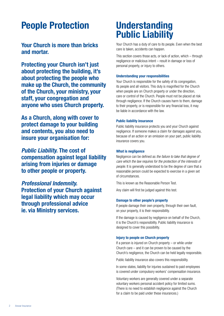### **People Protection Understanding**

**Your Church is more than bricks and mortar.** 

**Protecting your Church isn't just about protecting the building, it's about protecting the people who make up the Church, the community of the Church, your ministry, your staff, your congregation and anyone who uses Church property.** 

**As a Church, along with cover to protect damage to your building and contents, you also need to insure your organisation for:**

*Public Liability.* **The cost of compensation against legal liability arising from injuries or damage to other people or property.**

*Professional Indemnity.* **Protection of your Church against legal liability which may occur through professional advice ie. via Ministry services.**

# **Public Liability**

Your Church has a duty of care to its people. Even when the best care is taken, accidents can happen.

This section covers those acts, or lack of action, which – through negligence or malicious intent – result in damage or loss of personal property, or injury to others.

#### **Understanding your responsibilities**

Your Church is responsible for the safety of its congregation, its people and all visitors. This duty is magnified for the Church when people are on Church property or under the direction, care or control of the Church. People must not be placed at risk through negligence. If the Church causes harm to them, damage to their property, or is responsible for any financial loss, it may be liable in accordance with the law.

#### **Public liability insurance**

Public liability insurance protects you and your Church against negligence. If someone makes a claim for damages against you, because of an action or an omission on your part, public liability insurance covers you.

#### **What is negligence**

Negligence can be defined as *the failure to take that degree of care which the law requires for the protection of the interests of people*. It is generally understood to be the degree of care that a reasonable person could be expected to exercise in a given set of circumstances.

This is known as the Reasonable Person Test.

Any claim will first be judged against this test.

#### **Damage to other people's property**

If people damage their own property, through their own fault, on your property, it is their responsibility.

If the damage is caused by negligence on behalf of the Church, it is the Church's responsibility. Public liability insurance is designed to cover this possibility.

#### **Injury to people on Church property**

If a person is injured on Church property – or while under Church care – and it can be proven to be caused by the Church's negligence, the Church can be held legally responsible.

Public liability insurance also covers this responsibility.

In some states, liability for injuries sustained to paid employees is covered under compulsory workers' compensation insurance.

Voluntary workers are generally covered under a separate voluntary workers personal accident policy for limited sums. (There is no need to establish negligence against the Church for a claim to be paid under these insurances.)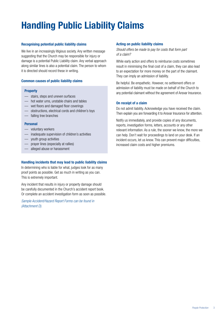# **Handling Public Liability Claims**

#### **Recognising potential public liability claims**

We live in an increasingly litigious society. Any written message suggesting that the Church may be responsible for injury or damage is a potential Public Liability claim. Any verbal approach along similar lines is also a potential claim. The person to whom it is directed should record these in writing.

#### **Common causes of public liability claims**

#### **Property**

- stairs, steps and uneven surfaces
- hot water urns, unstable chairs and tables
- wet floors and damaged floor coverings
- obstructions, electrical cords and children's toys
- falling tree branches

#### **Personal**

- voluntary workers
- inadequate supervision of children's activities
- youth group activities
- prayer lines (especially at rallies)
- alleged abuse or harassment

#### **Handling incidents that may lead to public liability claims**

In determining who is liable for what, judges look for as many proof points as possible. Get as much in writing as you can. This is extremely important.

Any incident that results in injury or property damage should be carefully documented in the Church's accident report book. Or complete an accident investigation form as soon as possible.

*Sample Accident/Hazard Report Forms can be found in (Attachment D).*

#### **Acting on public liability claims**

*Should offers be made to pay for costs that form part of a claim?*

While early action and offers to reimburse costs sometimes result in minimising the final cost of a claim, they can also lead to an expectation for more money on the part of the claimant. They can imply an admission of liability.

Be helpful. Be empathetic. However, no settlement offers or admission of liability must be made on behalf of the Church to any potential claimant without the agreement of Ansvar Insurance.

#### **On receipt of a claim**

Do not admit liability. Acknowledge you have received the claim. Then explain you are forwarding it to Ansvar Insurance for attention.

Notify us immediately, and provide copies of any documents, reports, investigation forms, letters, accounts or any other relevant information. As a rule, the sooner we know, the more we can help. Don't wait for proceedings to land on your desk. If an incident occurs, let us know. This can prevent major difficulties, increased claim costs and higher premiums.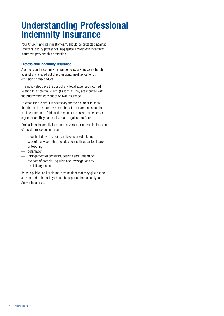### **Understanding Professional Indemnity Insurance**

Your Church, and its ministry team, should be protected against liability caused by professional negligence. Professional indemnity insurance provides this protection.

#### **Professional indemnity insurance**

A professional indemnity insurance policy covers your Church against any alleged act of professional negligence, error, omission or misconduct.

The policy also pays the cost of any legal expenses incurred in relation to a potential claim. (As long as they are incurred with the prior written consent of Ansvar Insurance.)

To establish a claim it is necessary for the claimant to show that the ministry team or a member of the team has acted in a negligent manner. If this action results in a loss to a person or organisation, they can seek a claim against the Church.

Professional indemnity insurance covers your church in the event of a claim made against you:

- breach of duty to paid employees or volunteers
- wrongful advice this includes counselling, pastoral care or teaching
- defamation
- infringement of copyright, designs and trademarks
- the cost of coronial inquiries and investigations by disciplinary bodies.

As with public liability claims, any incident that may give rise to a claim under this policy should be reported immediately to Ansvar Insurance.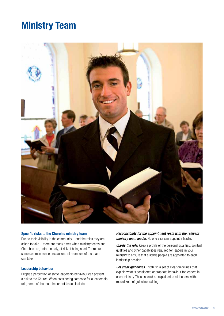### **Ministry Team**



#### **Specific risks to the Church's ministry team**

Due to their visibility in the community  $-$  and the roles they are asked to take – there are many times when ministry teams and Churches are, unfortunately, at risk of being sued. There are some common sense precautions all members of the team can take.

#### **Leadership behaviour**

People's perception of some leadership behaviour can present a risk to the Church. When considering someone for a leadership role, some of the more important issues include:

*Responsibility for the appointment rests with the relevant ministry team leader.* No one else can appoint a leader.

*Clarify the role.* Keep a profile of the personal qualities, spiritual qualities and other capabilities required for leaders in your ministry to ensure that suitable people are appointed to each leadership position.

**Set clear guidelines.** Establish a set of clear guidelines that explain what is considered appropriate behaviour for leaders in each ministry. These should be explained to all leaders, with a record kept of guideline training.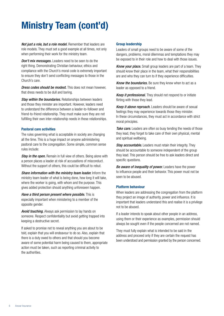## **Ministry Team (cont'd)**

*Not just a role, but a role model.* Remember that leaders are role models. They must set a good example at all times, not only when performing their work for the ministry team.

*Don't mix messages.* Leaders need to be seen to do the right thing. Demonstrating Christian behaviour, ethics and compliance with the Church's moral code is extremely important to ensure they don't send conflicting messages to those in the Church's care.

*Dress codes should be modest.* This does not mean however, that dress needs to be dull and boring.

*Stay within the boundaries.* Relationships between leaders and those they minister are important. However, leaders need to understand the difference between a leader-to-follower and friend-to-friend relationship. They must make sure they are not fulfilling their own inter-relationship needs in these relationships.

#### **Pastoral care activities**

The rules governing what is acceptable in society are changing all the time. This is a huge impact on anyone administering pastoral care to the congregation. Some simple, common sense rules include:

*Stay in the open.* Remain in full view of others. Being alone with a person places a leader at risk of accusations of misconduct. Without the support of others, this could be difficult to rebut.

*Share information with the ministry team leader.* **Inform the** ministry team leader of what is being done, how long it will take, where the worker is going, with whom and the purpose. This gives added protection should anything unforeseen happen.

*Have a third person present where possible.* This is especially important when ministering to a member of the opposite gender.

*Avoid touching.* Always ask permission to lay hands on someone. Respect confidentiality but avoid getting trapped into keeping a destructive secret.

If asked to promise not to reveal anything you are about to be told, explain that you will endeavour to do so. Also, explain that there is a duty owed to others and that should you become aware of some potential harm being caused to them, appropriate action must be taken, such as reporting criminal activity to the authorities.

#### **Group leadership**

Leaders of small groups need to be aware of some of the dangers, problems, moral dilemmas and temptations they may be exposed to in their role and how to deal with those issues.

*Know your place.* Small group leaders are part of a team. They should know their place in the team, what their responsibilities are and who they can turn to if they experience difficulties.

*Know the boundaries.* Be sure they know when to act as a leader as opposed to a friend.

*Keep it professional.* They should not respond to or initiate flirting with those they lead.

*Keep it above reproach.* Leaders should be aware of sexual feelings they may experience towards those they minister. In these circumstances, they must act in accordance with strict moral principles.

**Take care.** Leaders are often so busy tending the needs of those they lead, they forget to take care of their own physical, mental and spiritual wellbeing.

*Stay accountable.* Leaders must retain their integrity. They should be accountable to someone independent of the group they lead. This person should be free to ask leaders direct and specific questions.

*Be aware of inequality of power.* Leaders have the power to influence people and their behavior. This power must not be seen to be abused.

#### **Platform behaviour**

When leaders are addressing the congregation from the platform they project an image of authority, power and influence. It is important that leaders understand this and realise it is a privilege not to be abused.

If a leader intends to speak about other people in an address, using them or their experience as examples, permission should always be sought even if the people concerned are not named.

They must fully explain what is intended to be said in the address and proceed only if they are certain the request has been understood and permission granted by the person concerned.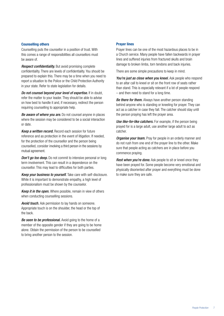#### **Counselling others**

Counselling puts the counsellor in a position of trust. With this comes a range of responsibilities all counsellors must be aware of.

*Respect confidentiality.* But avoid promising complete confidentiality. There are levels of confidentiality. You should be prepared to explain this. There may be a time when you need to report a situation to the Police or the Child Protection Authority in your state. Refer to state legislation for details.

*Do not counsel beyond your level of expertise.* If in doubt, refer the matter to your leader. They should be able to advise on how best to handle it and, if necessary, redirect the person requiring counselling to appropriate help.

*Be aware of where you are.* Do not counsel anyone in places where the session may be considered to be a social interaction or date.

*Keep a written record.* Record each session for future reference and as protection in the event of litigation. If needed, for the protection of the counsellor and the person being counselled, consider involving a third person in the sessions by mutual agreement.

*Don't go too deep.* Do not commit to intensive personal or long term involvement. This can result in a dependence on the counsellor. This may lead to difficulties for both parties.

*Keep your business to yourself.* Take care with self-disclosure. While it is important to demonstrate empathy, a high level of professionalism must be shown by the counselor.

*Keep it in the open.* Where possible, remain in view of others when conducting counselling sessions.

*Avoid touch.* Ask permission to lay hands on someone. Appropriate touch is on the shoulder, the head or the top of the back.

*Be seen to be professional.* Avoid going to the home of a member of the opposite gender if they are going to be home alone. Obtain the permission of the person to be counselled to bring another person to the session.

#### **Prayer lines**

Prayer lines can be one of the most hazardous places to be in a Church service. Many people have fallen backwards in prayer lines and suffered injuries from fractured skulls and brain damage to broken limbs, torn tendons and back injuries.

There are some simple precautions to keep in mind.

You're just as close when you kneel. Ask people who respond to an altar call to kneel or sit on the front row of seats rather than stand. This is especially relevant if a lot of people respond – and then need to stand for a long time.

*Be there for them.* Always have another person standing behind anyone who is standing or kneeling for prayer. They can act as a catcher in case they fall. The catcher should stay until the person praying has left the prayer area.

*Use like-for-like catchers.* For example, if the person being prayed for is a large adult, use another large adult to act as catcher.

*Organise your team.* Pray for people in an orderly manner and do not rush from one end of the prayer line to the other. Make sure that people acting as catchers are in place before you commence praying.

*Rest when you're done.* Ask people to sit or kneel once they have been prayed for. Some people become very emotional and physically disoriented after prayer and everything must be done to make sure they are safe.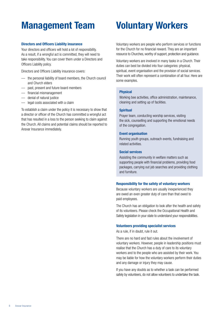### **Management Team Voluntary Workers**

#### **Directors and Officers Liability insurance**

Your directors and officers will hold a lot of responsibility. As a result, if a wrongful act is committed, they will need to take responsibility. You can cover them under a Directors and Officers Liability policy.

Directors and Officers Liability insurance covers:

- the personal liability of board members, the Church council and Church elders
- past, present and future board members
- financial mismanagement
- denial of natural justice
- legal costs associated with a claim

To establish a claim under the policy it is necessary to show that a director or officer of the Church has committed a wrongful act that has resulted in a loss to the person seeking to claim against the Church. All claims and potential claims should be reported to Ansvar Insurance immediately.

Voluntary workers are people who perform services or functions for the Church for no financial reward. They are an important resource to Churches, worthy of support, protection and guidance.

Voluntary workers are involved in many tasks in a Church. Their duties can best be divided into four categories: physical, spiritual, event organisation and the provision of social services. Their work will often represent a combination of all four. Here are some examples.

#### **Physical**

Working bee activities, office administration, maintenance, cleaning and setting up of facilities.

#### **Spiritual**

Prayer team, conducting worship services, visiting the sick, counselling and supporting the emotional needs of the congregation.

#### **Event organisation**

Running youth groups, outreach events, fundraising and related activities.

#### **Social services**

Assisting the community in welfare matters such as supporting people with financial problems, providing food packages, carrying out job searches and providing clothing and furniture.

#### **Responsibility for the safety of voluntary workers**

Because voluntary workers are usually inexperienced they are owed an even greater duty of care than that owed to paid employees.

The Church has an obligation to look after the health and safety of its volunteers. Please check the Occupational Health and Safety legislation in your state to understand your responsibilities.

#### **Volunteers providing specialist services**

As a rule, if in doubt, rule it out.

There are no hard and fast rules about the involvement of voluntary workers. However, people in leadership positions must realise that the Church has a duty of care to its voluntary workers and to the people who are assisted by their work. You may be liable for how the voluntary workers perform their duties and any damage or injury they may cause.

If you have any doubts as to whether a task can be performed safely by volunteers, do not allow volunteers to undertake the task.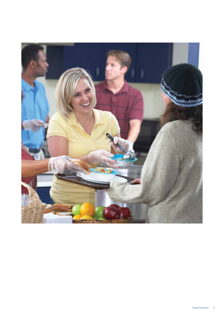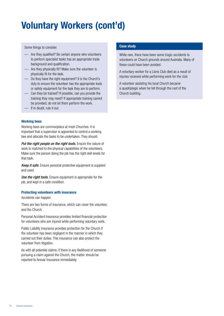### **Voluntary Workers (cont'd)**

Some things to consider.

- Are they qualified? Be certain anyone who volunteers to perform specialist tasks has an appropriate trade background and qualification.
- Are they physically fit? Make sure the volunteer is physically fit for the task.
- Do they have the right equipment? It is the Church's duty to ensure the volunteer has the appropriate tools or safety equipment for the task they are to perform.
- Can they be trained? If possible, can you provide the training they may need? If appropriate training cannot be provided, do not let them perform the work.
- If in doubt, rule it out.

#### **Working bees**

Working bees are commonplace at most Churches. It is important that a supervisor is appointed to control a working bee and allocate the tasks to be undertaken. They should:

*Put the right people on the right tools.* Ensure the nature of work is matched to the physical capabilities of the volunteers. Make sure the person doing the job has the right skill levels for that task.

*Keep it safe.* Ensure personal protective equipment is supplied and used.

*Use the right tools.* Ensure equipment is appropriate for the job, and kept in a safe condition.

#### **Protecting volunteers with insurance**

Accidents can happen.

There are two forms of insurance, which can cover the volunteer, and the Church.

Personal Accident Insurance provides limited financial protection for volunteers who are injured while performing voluntary work.

Public Liability insurance provides protection for the Church if the volunteer has been negligent in the manner in which they carried out their duties. This insurance can also protect the volunteer from litigation.

As with all potential claims, if there is any likelihood of someone pursuing a claim against the Church, the matter should be reported to Ansvar Insurance immediately.

#### **Case study**

While rare, there have been some tragic accidents to volunteers on Church grounds around Australia. Many of these could have been avoided.

A voluntary worker for a Lions Club died as a result of injuries received while performing work for the club

A volunteer assisting his local Church became a quadriplegic when he fell through the roof of the Church building.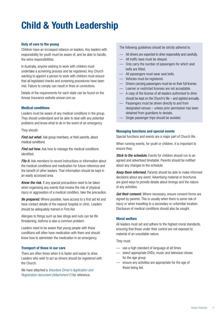## **Child & Youth Leadership**

#### **Duty of care to the young**

Children have an increased reliance on leaders. Any leaders with responsibility for youth must be aware of, and be able to handle, the extra responsibilities.

In Australia, anyone wishing to work with children must undertake a screening process and be registered. Any Church wanting to appoint a person to work with children must ensure that all legislated checks and screening procedures have been met. Failure to comply can result in fines or convictions.

Details of the requirements for each state can be found on the Ansvar Insurance website ansvar.com.au

#### **Medical conditions**

Leaders must be aware of any medical conditions in the group. They should understand and be able to deal with any potential problems and know what to do in the event of an emergency.

They should:

*Find out what.* Ask group members, or their parents, about medical conditions.

*Find out how.* Ask how to manage the medical conditions identified.

*File it.* Ask members to record instructions or information about the medical conditions and medication for future reference and the benefit of other leaders. That information should be kept in an easily accessed area.

*Know the risk.* If any special precautions need to be taken when organising any events that involve the risk of physical injury or aggravation of a medical condition, take the precaution.

*Be prepared.* Where possible, have access to a first aid kit and have contact details of the nearest hospital or clinic. Leaders should be adequately trained in First Aid.

Allergies to things such as bee stings and nuts can be life threatening. Asthma is also a common problem.

Leaders need to be aware that young people with these conditions will often have medication with them and should know how to administer the medication in an emergency.

#### **Transport of those in our care**

There are often times when it is faster and easier to drive. Leaders who wish to act as drivers should be registered with the Church.

We have attached a *Volunteer Driver's Application and Registration document (Attachment F)* for reference.

The following guidelines should be strictly adhered to.

- All drivers are expected to drive responsibly and carefully.
- All traffic laws must be obeyed.
- Only carry the number of passengers for which seat belts are fitted.
- All passengers must wear seat belts.
- Vehicles must be registered.
- Drivers carrying passengers must be on their full license.
- Learner or restricted licenses are not acceptable.
- A copy of the license of all leaders authorised to drive should be kept on the Church's file – and sighted annually.
- Passengers must be driven directly to and from designated venues – unless prior permission has been obtained from guardians to deviate.
- Single passenger trips should be avoided.

#### **Managing functions and special events**

Special functions and events are a major part of Church life.

When running events, for youth or children, it is important to ensure they:

**Stick to the schedule.** Events for children should run to an agreed and advertised timetable. Parents should be notified about any changes to the schedule.

*Keep them informed.* Parents should be able to make informed decisions about any event. Advertising material or brochures are good ways to provide details about timings and the nature of any activities.

*Get their consent.* Where necessary, ensure consent forms are signed by parents. This is usually when there is some risk of injury or when travelling to a secondary or unfamiliar location. Disclosure of medical conditions should also be sought.

#### **Moral welfare**

All leaders must set and adhere to the highest moral standards, ensuring that those under their control are not exposed to material of an unsuitable nature.

They must:

- use a high standard of language at all times
- select appropriate DVDs, music and television shows for the age group
- ensure any activities are appropriate for the age of those being led.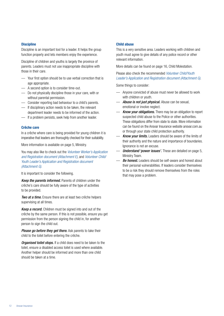#### **Discipline**

Discipline is an important tool for a leader. It helps the group function properly and lets members enjoy the experience.

Discipline of children and youths is largely the province of parents. Leaders must not use inappropriate discipline with those in their care.

- Your first option should be to use verbal correction that is age appropriate.
- A second option is to consider time-out.
- Do not physically discipline those in your care, with or without parental permission.
- Consider reporting bad behaviour to a child's parents.
- If disciplinary action needs to be taken, the relevant department leader needs to be informed of the action.
- If a problem persists, seek help from another leader.

#### **Crêche care**

In a crêche where care is being provided for young children it is imperative that leaders are thoroughly checked for their suitability.

More information is available on page 5, Ministry.

You may also like to check out the *Volunteer Worker's Application and Registration document (Attachment E)*, and *Volunteer Child/ Youth Leader's Application and Registration document (Attachment G).*

It is important to consider the following.

*Keep the parents informed.* Parents of children under the crêche's care should be fully aware of the type of activities to be provided.

*Two at a time.* Ensure there are at least two crêche helpers supervising at all times.

*Keep a record.* Children must be signed into and out of the crêche by the same person. If this is not possible, ensure you get permission from the person signing the child in, for another person to sign the child out.

*Please go before they get there.* Ask parents to take their child to the toilet before entering the crêche.

*Organised toilet stops.* If a child does need to be taken to the toilet, ensure a disabled access toilet is used where available. Another helper should be informed and more than one child should be taken at a time.

#### **Child abuse**

This is a very sensitive area. Leaders working with children and youth must agree to give details of any police record or other relevant information.

More details can be found on page 16, Child Molestation.

Please also check the recommended *Volunteer Child/Youth Leader's Application and Registration document (Attachment G)*.

Some things to consider:

- Anyone convicted of abuse must never be allowed to work with children or youth.
- *Abuse is not just physical.* Abuse can be sexual, emotional or involve neglect.
- *Know your obligations.* There may be an obligation to report suspected child abuse to the Police or other authorities. These obligations differ from state to state. More information can be found on the Ansvar Insurance website ansvar.com.au or through your state child protection authority.
- *Know your limits.* Leaders should be aware of the limits of their authority and the nature and importance of boundaries. Ignorance is not an excuse.
- *Understand 'power issues'.* These are detailed on page 5, Ministry Team.
- *Be honest.* Leaders should be self-aware and honest about their personal vulnerabilities. If leaders consider themselves to be a risk they should remove themselves from the roles that may pose a problem.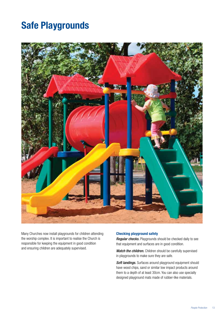### **Safe Playgrounds**



Many Churches now install playgrounds for children attending the worship complex. It is important to realise the Church is responsible for keeping the equipment in good condition and ensuring children are adequately supervised.

#### **Checking playground safety**

*Regular checks.* Playgrounds should be checked daily to see that equipment and surfaces are in good condition.

*Watch the children.* Children should be carefully supervised in playgrounds to make sure they are safe.

**Soft landings.** Surfaces around playground equipment should have wood chips, sand or similar low impact products around them to a depth of at least 30cm. You can also use specially designed playground mats made of rubber-like materials.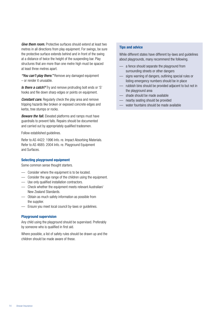*Give them room.* Protective surfaces should extend at least two metres in all directions from play equipment. For swings, be sure the protective surface extends behind and in front of the swing at a distance of twice the height of the suspending bar. Play structures that are more than one metre high must be spaced at least three metres apart.

*"You can't play there."* Remove any damaged equipment – or render it unusable.

*Is there a catch?* Try and remove protruding bolt ends or 'S' hooks and file down sharp edges or points on equipment.

*Constant care.* Regularly check the play area and remove tripping hazards like broken or exposed concrete edges and kerbs, tree stumps or rocks.

*Beware the fall.* Elevated platforms and ramps must have guardrails to prevent falls. Repairs should be documented and carried out by appropriately qualified tradesmen.

Follow established guidelines.

Refer to AS 4422: 1996 Info. re. Impact Absorbing Materials. Refer to AS 4685: 2004 Info. re. Playground Equipment and Surfaces.

#### **Selecting playground equipment**

Some common sense thought starters.

- Consider where the equipment is to be located.
- Consider the age range of the children using the equipment.
- Use only qualified installation contractors.
- Check whether the equipment meets relevant Australian/ New Zealand Standards.
- Obtain as much safety information as possible from the supplier.
- Ensure you meet local council by-laws or guidelines.

#### **Playground supervision**

Any child using the playground should be supervised. Preferably by someone who is qualified in first aid.

Where possible, a list of safety rules should be drawn up and the children should be made aware of these.

#### **Tips and advice**

While different states have different by-laws and guidelines about playgrounds, many recommend the following.

- a fence should separate the playground from surrounding streets or other dangers
- signs warning of dangers, outlining special rules or listing emergency numbers should be in place
- rubbish bins should be provided adjacent to but not in the playground area
- shade should be made available
- nearby seating should be provided
- water fountains should be made available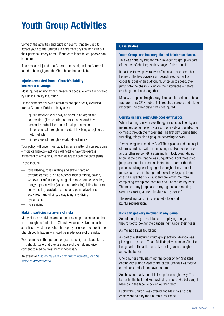## **Youth Group Activities**

Some of the activities and outreach events that are used to attract youth to the Church are extremely physical and can put their personal safety at risk. If due care is not taken, people can be injured.

If someone is injured at a Church-run event, and the Church is found to be negligent, the Church can be held liable.

#### **Injuries excluded from a Church's liability insurance coverage**

Most injuries arising from outreach or special events are covered by Public Liability insurance.

Please note, the following activities are specifically excluded from a Church's Public Liability cover:

- Injuries received while playing sport in an organised competition. (The sporting organisation should have personal accident insurance for all participants)
- Injuries caused through an accident involving a registered motor vehicle
- Injuries caused through a work related injury.

Your policy will cover most activities as a matter of course. Some – more dangerous – activities will need to have the express agreement of Ansvar Insurance if we are to cover the participants.

These include:

- rollerblading, roller-skating and skate boarding
- extreme games, such as outdoor rock climbing, caving, whitewater rafting, canyoning, high rope course activities, bungy rope activities (vertical or horizontal), inflatable sumo suit wrestling, gladiator games and paintball/skirmish activities, hand gliding, paragliding, sky diving
- flying foxes
- horse riding.

#### **Making participants aware of risks**

Many of these activities are dangerous and participants can be hurt through no fault of the Church. Anyone involved in such activities – whether on Church property or under the direction of Church youth leaders – should be made aware of the risks.

We recommend that parents or guardians sign a release form. This should state that they are aware of the risk and give consent to medical treatment if necessary.

#### An example *Liability Release Form (Youth Activities) can be found in Attachment K.*

#### **Case studies**

#### **Youth Groups can be energetic and boisterous places.**

This was certainly true for Mike Townsend's group. As part of a series of challenges, they played Office Jousting.

It starts with two players, two office chairs and some bike helmets. The two players run towards each other from opposite sides of an auditorium. Once up to speed, they jump onto the chairs – lying on their stomachs – before crashing their heads together.

Mike was in pain straight away. The pain turned out to be a fracture to his C7 vertebra. This required surgery and a long recovery. The other player was not injured.

#### **Corrina Fisher's Youth Club does gymnastics.**

When learning a new move, the gymnast is assisted by an instructor: someone who stands to one side and guides the gymnast through the movement. The first day Corrina tried tumbling, things didn't go quite according to plan.

"I was being instructed by Geoff Thompson and did a couple of jumps and flips with him catching me. He then left me and another person (Bill) assisting him took over. I did not know at the time that he was unqualified. I did three prep jumps on the mini-tramp as instructed, in order that the person catching would gauge the height of my jump. I jumped off the mini tramp and tucked my legs up to my chest. Bill grabbed my waist and prevented me from completing my flip. We both fell and I landed on my back. The force of my jump caused my legs to keep rotating over me causing a crush fracture of my spine."

The resulting back injury required a long and painful recuperation.

#### **Kids can get very involved in any game.**

Sometimes, they're so interested in playing the game, they forget to look for the dangers right under their noses.

As Melinda Davis found out.

As part of a structured youth group activity, Melinda was playing in a game of T ball. Melinda plays catcher. She likes being part of the action and likes being close enough to annoy the batter.

One day, her enthusiasm got the better of her. She kept getting closer and closer to the batter. She was warned to stand back and let him have his turn.

So she stood back, but didn't step far enough away. The batter hit the ball and kept swinging around. His bat caught Melinda in the face, knocking out her teeth.

Luckily the Church was covered and Melinda's hospital costs were paid by the Church's insurance.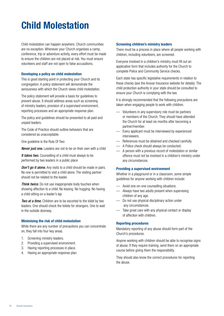### **Child Molestation**

Child molestation can happen anywhere. Church communities are no exception. Whenever your Church organises a camp, conference, trip or adventure activity, every effort must be made to ensure the children are not placed at risk. You must ensure volunteers and staff are not open to false accusations.

#### **Developing a policy on child molestation**

This is good starting point in protecting your Church and its congregation. A policy statement will demonstrate the seriousness with which the Church views child molestation.

The policy statement will provide a basis for guidelines to prevent abuse. It should address areas such as screening of ministry leaders, provision of a supervised environment, reporting processes and an appropriate response plan.

The policy and guidelines should be presented to all paid and unpaid leaders.

The Code of Practice should outline behaviors that are considered as unacceptable.

One guideline is the Rule Of Two:

*Never just one.* Leaders are not to be on their own with a child

*It takes two.* Counselling of a child must always to be performed by two leaders in a public place

*Don't go it alone.* Any visits to a child should be made in pairs. No one is permitted to visit a child alone. The visiting partner should not be related to the leader.

*Think twice.* Do not use inappropriate body touches when showing affection to a child. No kissing. No hugging. No having a child sitting on a leader's lap

*Two at a time.* Children are to be escorted to the toilet by two leaders. One should check the toilets for strangers. One to wait in the outside doorway.

#### **Minimising the risk of child molestation**

While there are any number of precautions you can concentrate on, they fall into four key areas.

- 1. Screening ministry leaders.
- 2. Providing a supervised environment.
- 3. Having reporting processes in place.
- 4. Having an appropriate response plan.

#### **Screening children's ministry leaders**

There must be a process in place where all people working with children, including volunteers, are screened.

Everyone involved in a children's ministry must fill out an application form that includes authority for the Church to complete Police and Community Service checks.

Each state has specific legislative requirements in relation to these checks (see the Ansvar Insurance website for details). The child protection authority in your state should be consulted to ensure your Church is complying with the law.

It is strongly recommended that the following precautions are taken when engaging people to work with children.

- Volunteers in any supervisory role must be partners or members of the Church. They should have attended the Church for at least six months after becoming a partner/member.
- Every applicant must be interviewed by experienced interviewers.
- References must be obtained and checked carefully.
- A Police check should always be conducted.
- A person with a previous record of molestation or similar offence must not be involved in a children's ministry under any circumstances.

#### **Providing a supervised environment**

Whether in a playground or in a classroom, some simple guidelines for anyone working with children include:

- Avoid one-on-one counselling situations.
- Always have two adults present when supervising children of any age.
- Do not use physical disciplinary action under any circumstances.
- Take great care with any physical contact or display of affection with children.

#### **Reporting procedures**

Mandatory reporting of any abuse should form part of the Church's procedures.

Anyone working with children should be able to recognise signs of abuse. If they require training, send them on an appropriate course before giving them the responsibility.

They should also know the correct procedures for reporting the abuse.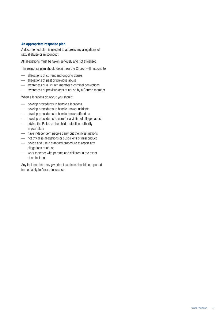#### **An appropriate response plan**

A documented plan is needed to address any allegations of sexual abuse or misconduct.

All allegations must be taken seriously and not trivialised.

The response plan should detail how the Church will respond to:

- allegations of current and ongoing abuse
- allegations of past or previous abuse
- awareness of a Church member's criminal convictions
- awareness of previous acts of abuse by a Church member

When allegations do occur, you should:

- develop procedures to handle allegations
- develop procedures to handle known incidents
- develop procedures to handle known offenders
- develop procedures to care for a victim of alleged abuse
- advise the Police or the child protection authority in your state
- have independent people carry out the investigations
- not trivialise allegations or suspicions of misconduct
- devise and use a standard procedure to report any allegations of abuse
- work together with parents and children in the event of an incident

Any incident that may give rise to a claim should be reported immediately to Ansvar Insurance.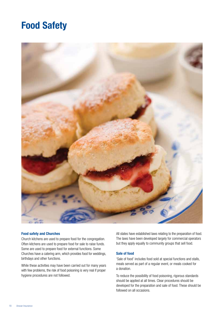### **Food Safety**



#### **Food safety and Churches**

Church kitchens are used to prepare food for the congregation. Often kitchens are used to prepare food for sale to raise funds. Some are used to prepare food for external functions. Some Churches have a catering arm, which provides food for weddings, birthdays and other functions.

While these activities may have been carried out for many years with few problems, the risk of food poisoning is very real if proper hygiene procedures are not followed.

All states have established laws relating to the preparation of food. The laws have been developed largely for commercial operators but they apply equally to community groups that sell food.

#### **Sale of food**

'Sale of food' includes food sold at special functions and stalls, meals served as part of a regular event, or meals cooked for a donation.

To reduce the possibility of food poisoning, rigorous standards should be applied at all times. Clear procedures should be developed for the preparation and sale of food. These should be followed on all occasions.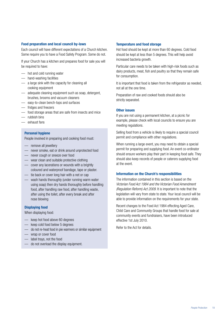#### **Food preparation and local council by-laws**

Each council will have different expectations of a Church kitchen. Some require you to have a Food Safety Program. Some do not.

If your Church has a kitchen and prepares food for sale you will be required to have:

- hot and cold running water
- hand-washing facilities
- a large sink with the capacity for cleaning all cooking equipment
- adequate cleaning equipment such as soap, detergent, brushes, brooms and vacuum cleaners
- easy-to-clean bench-tops and surfaces
- fridges and freezers
- food storage areas that are safe from insects and mice
- rubbish bins
- exhaust fans

#### **Personal hygiene**

People involved in preparing and cooking food must:

- remove all jewellery
- never smoke, eat or drink around unprotected food
- never cough or sneeze over food
- wear clean and suitable protective clothing
- cover any lacerations or wounds with a brightly coloured and waterproof bandage, tape or plaster.
- tie back or cover long hair with a net or cap
- wash hands thoroughly (under running warm water using soap) then dry hands thoroughly before handling food, after handling raw food, after handling waste, after using the toilet, after every break and after nose blowing

#### **Displaying food**

When displaying food:

- keep hot food above 60 degrees
- keep cold food below 5 degrees
- do not re-heat food in pie warmers or similar equipment
- wrap or cover food
- label trays, not the food
- do not overload the display equipment.

#### **Temperature and food storage**

Hot food should be kept at more than 60 degrees. Cold food should be kept at less than 5 degrees. This will help avoid increased bacteria growth.

Particular care needs to be taken with high-risk foods such as dairy products, meat, fish and poultry so that they remain safe for consumption.

It is important that food is taken from the refrigerator as needed. not all at the one time.

Preparation of raw and cooked foods should also be strictly separated.

#### **Other issues**

If you are not using a permanent kitchen, at a picnic for example, please check with local councils to ensure you are meeting regulations.

Selling food from a vehicle is likely to require a special council permit and compliance with other regulations.

When running a large event, you may need to obtain a special permit for preparing and supplying food. An event co-ordinator should ensure workers play their part in keeping food safe. They should also keep records of people or caterers supplying food at the event.

#### **Information on the Church's responsibilities**

The information contained in this section is based on the *Victorian Food Act 1984 and the Victorian Food Amendment (Regulation Reform) Act 2009*. It is important to note that the legislation will vary from state to state. Your local council will be able to provide information on the requirements for your state.

Recent changes to the Food Act 1984 effecting Aged Care, Child Care and Community Groups that handle food for sale at community events and fundraisers, have been introduced effective 1st July 2010.

Refer to the Act for details.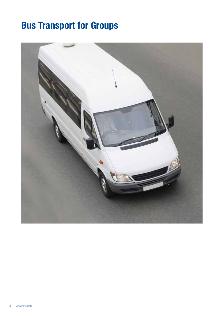# **Bus Transport for Groups**

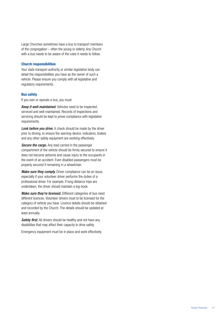Large Churches sometimes have a bus to transport members of the congregation – often the young or elderly. Any Church with a bus needs to be aware of the rules it needs to follow.

#### **Church responsibilities**

Your state transport authority or similar legislative body can detail the responsibilities you have as the owner of such a vehicle. Please ensure you comply with all legislative and regulatory requirements.

#### **Bus safety**

If you own or operate a bus, you must:

*Keep it well maintained.* Vehicles need to be inspected, serviced and well maintained. Records of inspections and servicing should be kept to prove compliance with legislative requirements.

*Look before you drive.* A check should be made by the driver prior to driving, to ensure the warning-device, indicators, brakes and any other safety equipment are working effectively.

*Secure the cargo.* Any load carried in the passenger compartment of the vehicle should be firmly secured to ensure it does not become airborne and cause injury to the occupants in the event of an accident. Even disabled passengers must be properly secured if remaining in a wheelchair.

*Make sure they comply.* Driver compliance can be an issue, especially if your volunteer driver performs the duties of a professional driver. For example, if long distance trips are undertaken, the driver should maintain a log-book.

*Make sure they're licensed.* Different categories of bus need different licences. Volunteer drivers must to be licensed for the category of vehicle you have. Licence details should be obtained and recorded by the Church. The details should be updated at least annually.

*Safety first.* All drivers should be healthy and not have any disabilities that may affect their capacity to drive safely.

Emergency equipment must be in place and work effectively.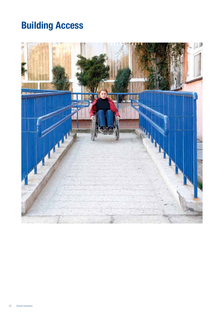# **Building Access**

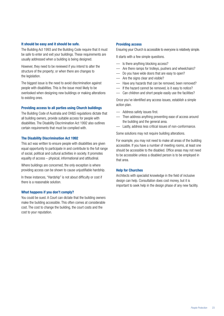#### **It should be easy and it should be safe.**

The Building Act 1993 and the Building Code require that it must be safe to enter and exit your buildings. These requirements are usually addressed when a building is being designed.

However, they need to be reviewed if you intend to alter the structure of the property; or when there are changes to the legislation.

The biggest issue is the need to avoid discrimination against people with disabilities. This is the issue most likely to be overlooked when designing new buildings or making alterations to existing ones.

#### **Providing access to all parties using Church buildings**

The Building Code of Australia and OH&S regulations dictate that all building owners, provide suitable access for people with disabilities. The Disability Discrimination Act 1992 also outlines certain requirements that must be complied with.

#### **The Disability Discrimination Act 1992**

This act was written to ensure people with disabilities are given equal opportunity to participate in and contribute to the full range of social, political and cultural activities in society. It promotes equality of access – physical, informational and attitudinal.

Where buildings are concerned, the only exception is where providing access can be shown to cause unjustifiable hardship.

In these instances, "Hardship" is not about difficulty or cost if there is a reasonable solution.

#### **What happens if you don't comply?**

You could be sued. A Court can dictate that the building owners make the building accessible. This often comes at considerable cost. The cost to change the building, the court costs and the cost to your reputation.

#### **Providing access**

Ensuring your Church is accessible to everyone is relatively simple.

It starts with a few simple questions.

- Is there anything blocking access?
- Are there ramps for trolleys, pushers and wheelchairs?
- Do you have wide doors that are easy to open?
- Are the signs clear and visible?
- Have any hazards that can be removed, been removed?
- If the hazard cannot be removed, is it easy to notice?
- Can children and short people easily use the facilities?

Once you've identified any access issues, establish a simple action plan.

- Address safety issues first.
- Then address anything preventing ease of access around the building and the general area.
- Lastly, address less critical issues of non-conformance.

Some solutions may not require building alterations.

For example, you may not need to make all areas of the building accessible. If you have a number of meeting rooms, at least one should be accessible to the disabled. Office areas may not need to be accessible unless a disabled person is to be employed in that area.

#### **Help for Churches**

Architects with specialist knowledge in the field of inclusive design can help. Consultation does cost money, but it is important to seek help in the design phase of any new facility.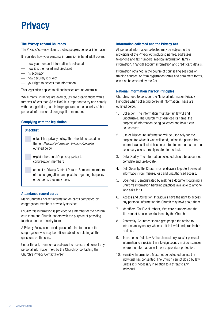### **Privacy**

#### **The** *Privacy Act* **and Churches**

The Privacy Act was written to protect people's personal information.

It regulates how your personal information is handled. It covers:

- how your personal information is collected
- how it is then used and disclosed
- its accuracy
- how securely it is kept
- your right to access that information

This legislation applies to all businesses around Australia.

While many Churches are exempt, (as are organisations with a turnover of less than \$3 million) it is important to try and comply with the legislation, as this helps guarantee the security of the personal information of congregation members.

#### **Complying with the legislation**

#### **Checklist**

establish a privacy policy. This should be based on the ten *National Information Privacy Principles*  outlined below

explain the Church's privacy policy to congregation members

appoint a Privacy Contact Person. Someone members of the congregation can speak to regarding the policy or concerns they may have.

#### **Attendance record cards**

Many Churches collect information on cards completed by congregation members at weekly services.

Usually this information is provided to a member of the pastoral care team and Church leaders with the purpose of providing feedback to the ministry team.

A Privacy Policy can provide peace of mind to those in the congregation who may be reticent about completing all the questions on the card.

Under the act, members are allowed to access and correct any personal information held by the Church by contacting the Church's Privacy Contact Person.

#### **Information collected and the Privacy Act**

All personal information collected may be subject to the provisions of the Privacy Act including names, addresses, telephone and fax numbers, medical information, family information, financial account information and credit card details.

Information obtained in the course of counselling sessions or training courses, or from registration forms and enrolment forms, can also be covered by the Act.

#### **National Information Privacy Principles**

Churches need to consider the National Information Privacy Principles when collecting personal information. These are outlined below.

- 1. Collection. The information must be fair, lawful and unobtrusive. The Church must disclose its name, the purpose of information being collected and how it can be accessed.
- 2. Use or Disclosure. Information will be used only for the purpose for which it was collected, unless the person from whom it was collected has consented to another use, or the secondary use is directly related to the first.
- 3. Data Quality. The information collected should be accurate, complete and up-to-date.
- 4. Data Security. The Church must endeavour to protect personal information from misuse, loss and unauthorised access.
- 5. Openness. Demonstrated by making a document outlining a Church's information handling practices available to anyone who asks for it.
- 6. Access and Correction. Individuals have the right to access any personal information the Church may hold about them.
- 7. Identifiers. Tax File Numbers, Medicare numbers and the like cannot be used or disclosed by the Church.
- 8. Anonymity. Churches should give people the option to interact anonymously whenever it is lawful and practicable to do so.
- 9. Trans-border Dataflow. A Church must only transfer personal information to a recipient in a foreign country in circumstances where the information will have appropriate protection.
- 10. Sensitive Information. Must not be collected unless the individual has consented. The Church cannot do so by law unless it is necessary in relation to a threat to any individual.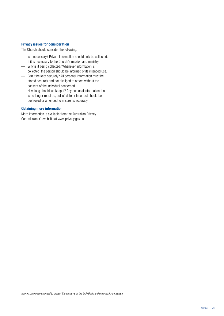#### **Privacy issues for consideration**

The Church should consider the following.

- Is it necessary? Private information should only be collected. if it is necessary to the Church's mission and ministry.
- Why is it being collected? Whenever information is collected, the person should be informed of its intended use.
- Can it be kept securely? All personal information must be stored securely and not divulged to others without the consent of the individual concerned.
- How long should we keep it? Any personal information that is no longer required, out-of-date or incorrect should be destroyed or amended to ensure its accuracy.

#### **Obtaining more information**

More information is available from the Australian Privacy Commissioner's website at www.privacy.gov.au.